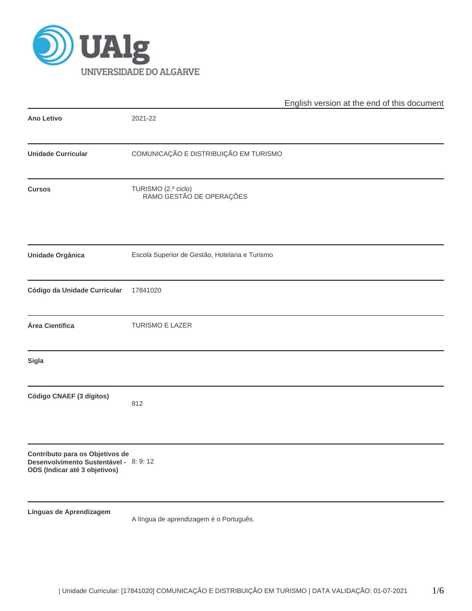

|                                                                                                            |                                                 | English version at the end of this document |
|------------------------------------------------------------------------------------------------------------|-------------------------------------------------|---------------------------------------------|
| <b>Ano Letivo</b>                                                                                          | 2021-22                                         |                                             |
| <b>Unidade Curricular</b>                                                                                  | COMUNICAÇÃO E DISTRIBUIÇÃO EM TURISMO           |                                             |
| <b>Cursos</b>                                                                                              | TURISMO (2.º ciclo)<br>RAMO GESTÃO DE OPERAÇÕES |                                             |
| <b>Unidade Orgânica</b>                                                                                    | Escola Superior de Gestão, Hotelaria e Turismo  |                                             |
| Código da Unidade Curricular                                                                               | 17841020                                        |                                             |
| Área Científica                                                                                            | TURISMO E LAZER                                 |                                             |
| Sigla                                                                                                      |                                                 |                                             |
| Código CNAEF (3 dígitos)                                                                                   | 812                                             |                                             |
| Contributo para os Objetivos de<br>Desenvolvimento Sustentável - 8: 9: 12<br>ODS (Indicar até 3 objetivos) |                                                 |                                             |
| Línguas de Aprendizagem                                                                                    | A língua de aprendizagem é o Português.         |                                             |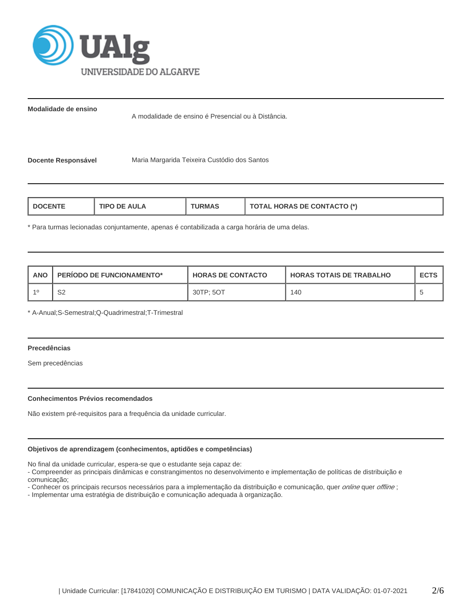

**Modalidade de ensino**

A modalidade de ensino é Presencial ou à Distância.

**Docente Responsável** Maria Margarida Teixeira Custódio dos Santos

| TIPO DE AULA<br><b>DOCENTE</b> | <b>URMAS</b> | <b>TOTAL HORAS DE CONTACTO (*)</b> |
|--------------------------------|--------------|------------------------------------|
|--------------------------------|--------------|------------------------------------|

\* Para turmas lecionadas conjuntamente, apenas é contabilizada a carga horária de uma delas.

| ANO | <b>PERIODO DE FUNCIONAMENTO*</b> | <b>HORAS DE CONTACTO</b> | I HORAS TOTAIS DE TRABALHO | <b>ECTS</b> |
|-----|----------------------------------|--------------------------|----------------------------|-------------|
|     | S2                               | 30TP: 5OT                | 140                        |             |

\* A-Anual;S-Semestral;Q-Quadrimestral;T-Trimestral

## **Precedências**

Sem precedências

## **Conhecimentos Prévios recomendados**

Não existem pré-requisitos para a frequência da unidade curricular.

## **Objetivos de aprendizagem (conhecimentos, aptidões e competências)**

No final da unidade curricular, espera-se que o estudante seja capaz de:

- Compreender as principais dinâmicas e constrangimentos no desenvolvimento e implementação de políticas de distribuição e comunicação;

- Conhecer os principais recursos necessários para a implementação da distribuição e comunicação, quer *online* quer offline;

- Implementar uma estratégia de distribuição e comunicação adequada à organização.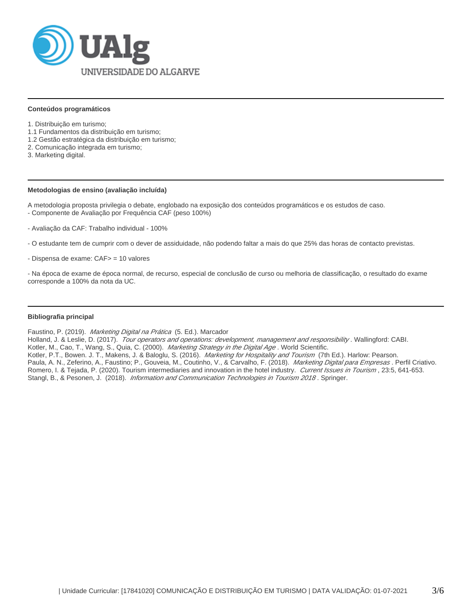

#### **Conteúdos programáticos**

- 1. Distribuição em turismo;
- 1.1 Fundamentos da distribuição em turismo;
- 1.2 Gestão estratégica da distribuição em turismo;
- 2. Comunicação integrada em turismo;
- 3. Marketing digital.

#### **Metodologias de ensino (avaliação incluída)**

A metodologia proposta privilegia o debate, englobado na exposição dos conteúdos programáticos e os estudos de caso. - Componente de Avaliação por Frequência CAF (peso 100%)

- Avaliação da CAF: Trabalho individual 100%
- O estudante tem de cumprir com o dever de assiduidade, não podendo faltar a mais do que 25% das horas de contacto previstas.
- Dispensa de exame: CAF> = 10 valores

- Na época de exame de época normal, de recurso, especial de conclusão de curso ou melhoria de classificação, o resultado do exame corresponde a 100% da nota da UC.

## **Bibliografia principal**

Faustino, P. (2019). Marketing Digital na Prática (5. Ed.). Marcador

Holland, J. & Leslie, D. (2017). Tour operators and operations: development, management and responsibility. Wallingford: CABI.

Kotler, M., Cao, T., Wang, S., Quia, C. (2000). Marketing Strategy in the Digital Age. World Scientific.

Kotler, P.T., Bowen. J. T., Makens, J. & Baloglu, S. (2016). *Marketing for Hospitality and Tourism* (7th Ed.). Harlow: Pearson. Paula, A. N., Zeferino, A., Faustino; P., Gouveia, M., Coutinho, V., & Carvalho, F. (2018). Marketing Digital para Empresas . Perfil Criativo. Romero, I. & Tejada, P. (2020). Tourism intermediaries and innovation in the hotel industry. Current Issues in Tourism, 23:5, 641-653. Stangl, B., & Pesonen, J. (2018). Information and Communication Technologies in Tourism 2018. Springer.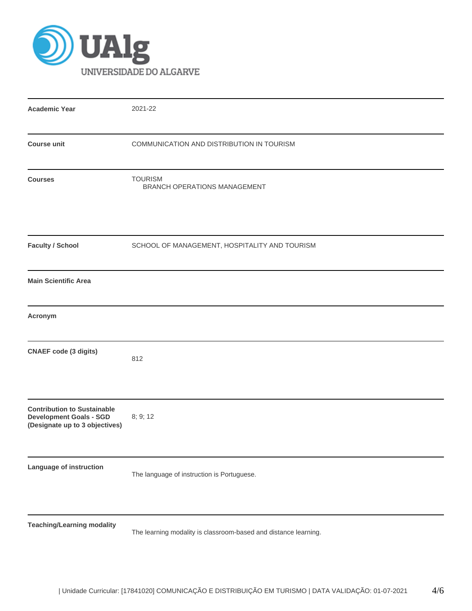

| <b>Academic Year</b>                                                                                   | 2021-22                                                         |
|--------------------------------------------------------------------------------------------------------|-----------------------------------------------------------------|
| <b>Course unit</b>                                                                                     | COMMUNICATION AND DISTRIBUTION IN TOURISM                       |
| <b>Courses</b>                                                                                         | <b>TOURISM</b><br>BRANCH OPERATIONS MANAGEMENT                  |
| <b>Faculty / School</b>                                                                                | SCHOOL OF MANAGEMENT, HOSPITALITY AND TOURISM                   |
| <b>Main Scientific Area</b>                                                                            |                                                                 |
| Acronym                                                                                                |                                                                 |
| <b>CNAEF</b> code (3 digits)                                                                           | 812                                                             |
| <b>Contribution to Sustainable</b><br><b>Development Goals - SGD</b><br>(Designate up to 3 objectives) | 8; 9; 12                                                        |
| Language of instruction                                                                                | The language of instruction is Portuguese.                      |
| <b>Teaching/Learning modality</b>                                                                      | The learning modality is classroom-based and distance learning. |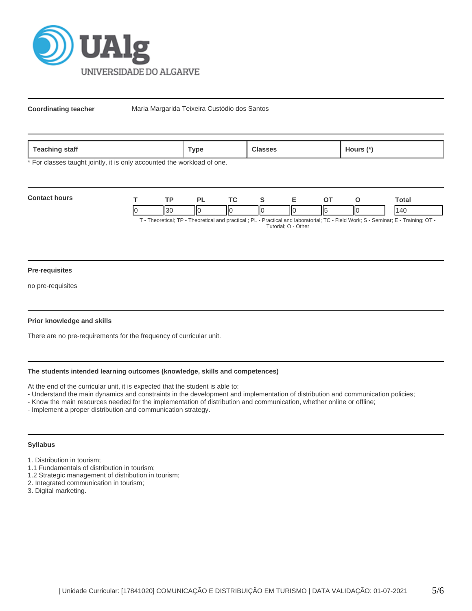

**Coordinating teacher** Maria Margarida Teixeira Custódio dos Santos

| --<br>Teaching<br>ˈstaff | `vpe | ∵ิlasses<br>. | Hours (* |
|--------------------------|------|---------------|----------|
|--------------------------|------|---------------|----------|

\* For classes taught jointly, it is only accounted the workload of one.

| <b>Contact hours</b>                                                                                                  |  |  |  |     |  |    |   | <b>otal</b> |
|-----------------------------------------------------------------------------------------------------------------------|--|--|--|-----|--|----|---|-------------|
|                                                                                                                       |  |  |  | ll( |  | п. | Π |             |
| Theoretical: TD Theoretical and proctical : DL Dractical and Inhoratorial: TC Eiold Work: S. Sominar: E. Training: OT |  |  |  |     |  |    |   |             |

· Theoretical; TP - Theoretical and practical ; PL - Practical and laboratorial; TC - Field Work; S - Seminar; E - Training; OT Tutorial; O - Other

#### **Pre-requisites**

no pre-requisites

## **Prior knowledge and skills**

There are no pre-requirements for the frequency of curricular unit.

# **The students intended learning outcomes (knowledge, skills and competences)**

At the end of the curricular unit, it is expected that the student is able to:

- Understand the main dynamics and constraints in the development and implementation of distribution and communication policies;
- Know the main resources needed for the implementation of distribution and communication, whether online or offline;
- Implement a proper distribution and communication strategy.

## **Syllabus**

- 1. Distribution in tourism;
- 1.1 Fundamentals of distribution in tourism;
- 1.2 Strategic management of distribution in tourism;
- 2. Integrated communication in tourism;
- 3. Digital marketing.